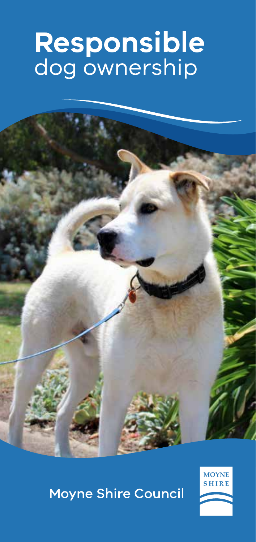# Responsible<br>dog ownership



## **Moyne Shire Council**

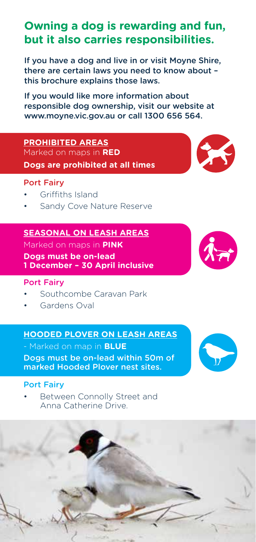### **Owning a dog is rewarding and fun, but it also carries responsibilities.**

If you have a dog and live in or visit Moyne Shire, there are certain laws you need to know about – this brochure explains those laws.

If you would like more information about responsible dog ownership, visit our website at www.moyne.vic.gov.au or call 1300 656 564.

#### **PROHIBITED AREAS**

Marked on maps in **RED Dogs are prohibited at all times**

#### Port Fairy

- Griffiths Island
- Sandy Cove Nature Reserve

#### **SEASONAL ON LEASH AREAS**

Marked on maps in **PINK**

**Dogs must be on-lead 1 December – 30 April inclusive**

#### Port Fairy

- Southcombe Caravan Park
- Gardens Oval

#### **HOODED PLOVER ON LEASH AREAS**

- Marked on map in **BLUE**

Dogs must be on-lead within 50m of marked Hooded Plover nest sites.

#### Port Fairy

Between Connolly Street and Anna Catherine Drive.









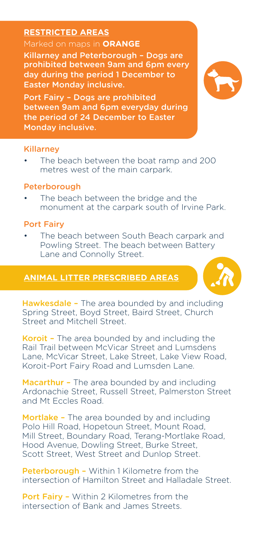#### **RESTRICTED AREAS**

#### Marked on maps in **ORANGE**

Killarney and Peterborough – Dogs are prohibited between 9am and 6pm every day during the period 1 December to Easter Monday inclusive.

Port Fairy – Dogs are prohibited between 9am and 6pm everyday during the period of 24 December to Easter Monday inclusive.

#### Killarney

The beach between the boat ramp and 200 metres west of the main carpark.

#### Peterborough

The beach between the bridge and the monument at the carpark south of Irvine Park.

#### Port Fairy

• The beach between South Beach carpark and Powling Street. The beach between Battery Lane and Connolly Street.

#### **ANIMAL LITTER PRESCRIBED AREAS**



Koroit – The area bounded by and including the Rail Trail between McVicar Street and Lumsdens Lane, McVicar Street, Lake Street, Lake View Road, Koroit-Port Fairy Road and Lumsden Lane.

Macarthur - The area bounded by and including Ardonachie Street, Russell Street, Palmerston Street and Mt Eccles Road.

Mortlake - The area bounded by and including Polo Hill Road, Hopetoun Street, Mount Road, Mill Street, Boundary Road, Terang-Mortlake Road, Hood Avenue, Dowling Street, Burke Street, Scott Street, West Street and Dunlop Street.

Peterborough - Within 1 Kilometre from the intersection of Hamilton Street and Halladale Street.

Port Fairy - Within 2 Kilometres from the intersection of Bank and James Streets.

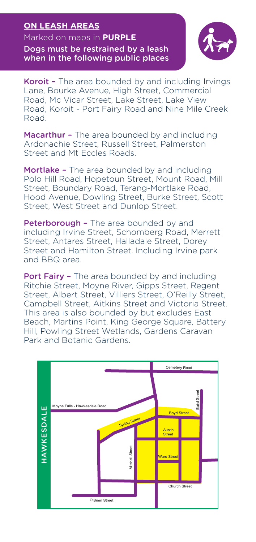#### **ON LEASH AREAS**

Marked on maps in **PURPLE**

Dogs must be restrained by a leash when in the following public places



Koroit - The area bounded by and including Irvings Lane, Bourke Avenue, High Street, Commercial Road, Mc Vicar Street, Lake Street, Lake View Road, Koroit - Port Fairy Road and Nine Mile Creek Road.

Macarthur - The area bounded by and including Ardonachie Street, Russell Street, Palmerston Street and Mt Eccles Roads.

Mortlake - The area bounded by and including Polo Hill Road, Hopetoun Street, Mount Road, Mill Street, Boundary Road, Terang-Mortlake Road, Hood Avenue, Dowling Street, Burke Street, Scott Street, West Street and Dunlop Street.

Peterborough - The area bounded by and including Irvine Street, Schomberg Road, Merrett Street, Antares Street, Halladale Street, Dorey Street and Hamilton Street. Including Irvine park and BBQ area.

Port Fairy - The area bounded by and including Ritchie Street, Moyne River, Gipps Street, Regent Street, Albert Street, Villiers Street, O'Reilly Street, Campbell Street, Aitkins Street and Victoria Street. This area is also bounded by but excludes East Beach, Martins Point, King George Square, Battery Hill, Powling Street Wetlands, Gardens Caravan Park and Botanic Gardens.

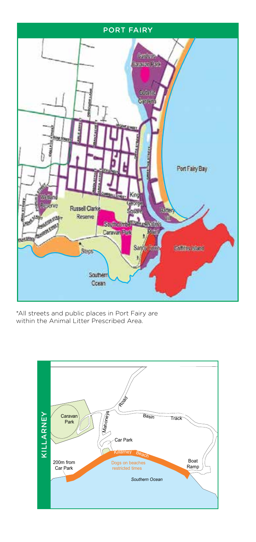

\*All streets and public places in Port Fairy are within the Animal Litter Prescribed Area.

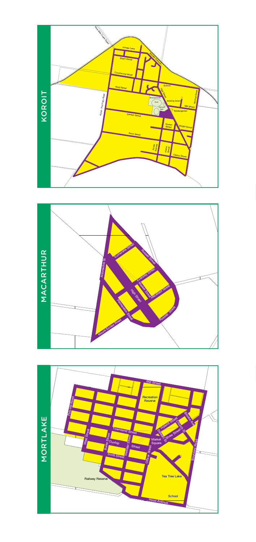



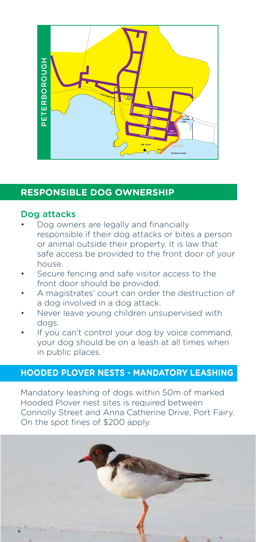

#### **RESPONSIBLE DOG OWNERSHIP**

#### Dog attacks

- Dog owners are legally and financially responsible if their dog attacks or bites a person or animal outside their property. It is law that safe access be provided to the front door of your house.
- Secure fencing and safe visitor access to the front door should be provided.
- A magistrates' court can order the destruction of a dog involved in a dog attack.
- Never leave young children unsupervised with dogs.
- If you can't control your dog by voice command, your dog should be on a leash at all times when in public places.

#### **HOODED PLOVER NESTS - MANDATORY LEASHING**

Mandatory leashing of dogs within 50m of marked Hooded Plover nest sites is required between Connolly Street and Anna Catherine Drive, Port Fairy. On the spot fines of \$200 apply.